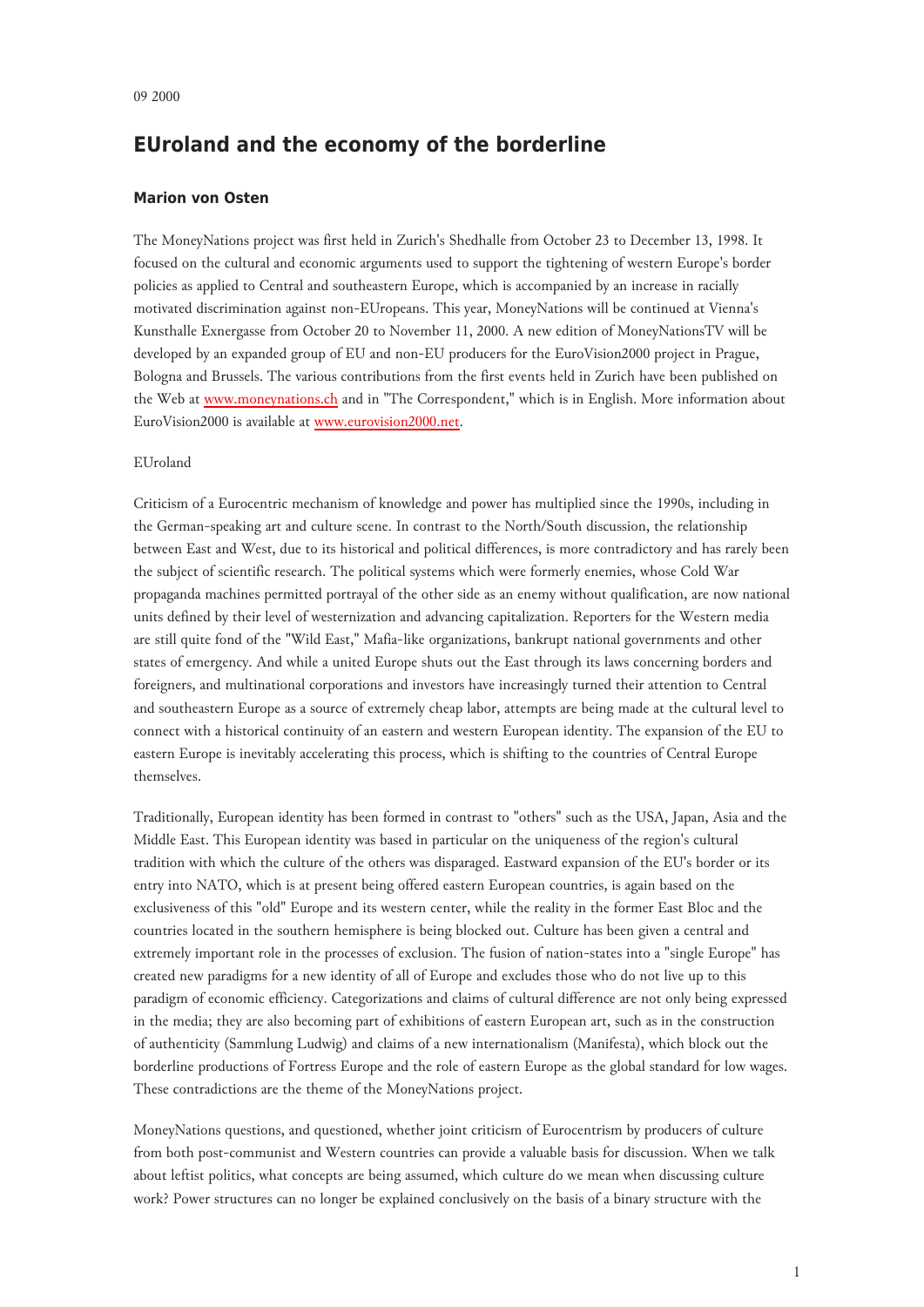# **EUroland and the economy of the borderline**

## **Marion von Osten**

The MoneyNations project was first held in Zurich's Shedhalle from October 23 to December 13, 1998. It focused on the cultural and economic arguments used to support the tightening of western Europe's border policies as applied to Central and southeastern Europe, which is accompanied by an increase in racially motivated discrimination against non-EUropeans. This year, MoneyNations will be continued at Vienna's Kunsthalle Exnergasse from October 20 to November 11, 2000. A new edition of MoneyNationsTV will be developed by an expanded group of EU and non-EU producers for the EuroVision2000 project in Prague, Bologna and Brussels. The various contributions from the first events held in Zurich have been published on the Web at [www.moneynations.ch](http://www.moneynations.ch/) and in "The Correspondent," which is in English. More information about EuroVision2000 is available at [www.eurovision2000.net.](http://www.eurovision2000.net/)

### EUroland

Criticism of a Eurocentric mechanism of knowledge and power has multiplied since the 1990s, including in the German-speaking art and culture scene. In contrast to the North/South discussion, the relationship between East and West, due to its historical and political differences, is more contradictory and has rarely been the subject of scientific research. The political systems which were formerly enemies, whose Cold War propaganda machines permitted portrayal of the other side as an enemy without qualification, are now national units defined by their level of westernization and advancing capitalization. Reporters for the Western media are still quite fond of the "Wild East," Mafia-like organizations, bankrupt national governments and other states of emergency. And while a united Europe shuts out the East through its laws concerning borders and foreigners, and multinational corporations and investors have increasingly turned their attention to Central and southeastern Europe as a source of extremely cheap labor, attempts are being made at the cultural level to connect with a historical continuity of an eastern and western European identity. The expansion of the EU to eastern Europe is inevitably accelerating this process, which is shifting to the countries of Central Europe themselves.

Traditionally, European identity has been formed in contrast to "others" such as the USA, Japan, Asia and the Middle East. This European identity was based in particular on the uniqueness of the region's cultural tradition with which the culture of the others was disparaged. Eastward expansion of the EU's border or its entry into NATO, which is at present being offered eastern European countries, is again based on the exclusiveness of this "old" Europe and its western center, while the reality in the former East Bloc and the countries located in the southern hemisphere is being blocked out. Culture has been given a central and extremely important role in the processes of exclusion. The fusion of nation-states into a "single Europe" has created new paradigms for a new identity of all of Europe and excludes those who do not live up to this paradigm of economic efficiency. Categorizations and claims of cultural difference are not only being expressed in the media; they are also becoming part of exhibitions of eastern European art, such as in the construction of authenticity (Sammlung Ludwig) and claims of a new internationalism (Manifesta), which block out the borderline productions of Fortress Europe and the role of eastern Europe as the global standard for low wages. These contradictions are the theme of the MoneyNations project.

MoneyNations questions, and questioned, whether joint criticism of Eurocentrism by producers of culture from both post-communist and Western countries can provide a valuable basis for discussion. When we talk about leftist politics, what concepts are being assumed, which culture do we mean when discussing culture work? Power structures can no longer be explained conclusively on the basis of a binary structure with the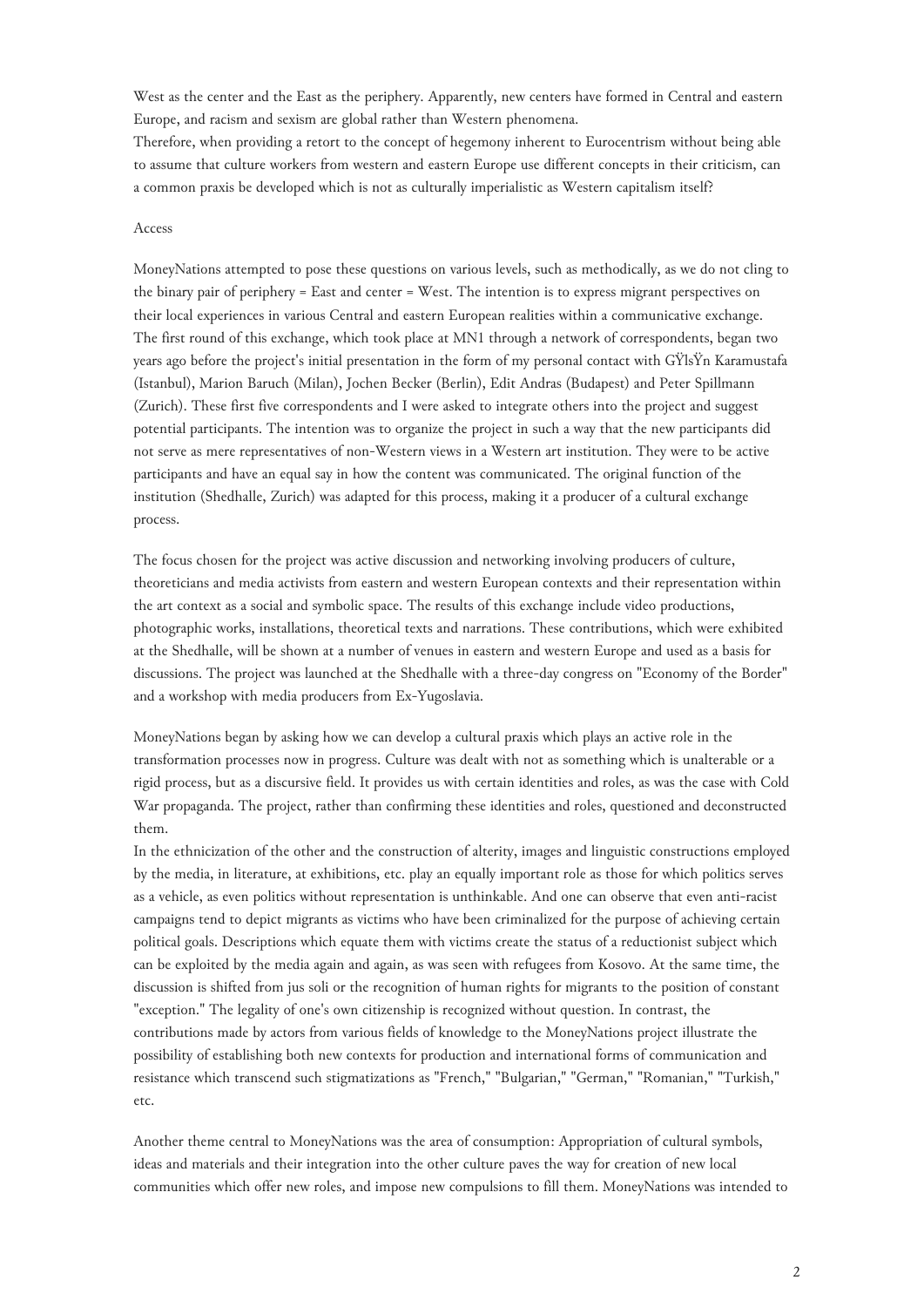West as the center and the East as the periphery. Apparently, new centers have formed in Central and eastern Europe, and racism and sexism are global rather than Western phenomena.

Therefore, when providing a retort to the concept of hegemony inherent to Eurocentrism without being able to assume that culture workers from western and eastern Europe use different concepts in their criticism, can a common praxis be developed which is not as culturally imperialistic as Western capitalism itself?

## Access

MoneyNations attempted to pose these questions on various levels, such as methodically, as we do not cling to the binary pair of periphery = East and center = West. The intention is to express migrant perspectives on their local experiences in various Central and eastern European realities within a communicative exchange. The first round of this exchange, which took place at MN1 through a network of correspondents, began two years ago before the project's initial presentation in the form of my personal contact with GŸlsŸn Karamustafa (Istanbul), Marion Baruch (Milan), Jochen Becker (Berlin), Edit Andras (Budapest) and Peter Spillmann (Zurich). These first five correspondents and I were asked to integrate others into the project and suggest potential participants. The intention was to organize the project in such a way that the new participants did not serve as mere representatives of non-Western views in a Western art institution. They were to be active participants and have an equal say in how the content was communicated. The original function of the institution (Shedhalle, Zurich) was adapted for this process, making it a producer of a cultural exchange process.

The focus chosen for the project was active discussion and networking involving producers of culture, theoreticians and media activists from eastern and western European contexts and their representation within the art context as a social and symbolic space. The results of this exchange include video productions, photographic works, installations, theoretical texts and narrations. These contributions, which were exhibited at the Shedhalle, will be shown at a number of venues in eastern and western Europe and used as a basis for discussions. The project was launched at the Shedhalle with a three-day congress on "Economy of the Border" and a workshop with media producers from Ex-Yugoslavia.

MoneyNations began by asking how we can develop a cultural praxis which plays an active role in the transformation processes now in progress. Culture was dealt with not as something which is unalterable or a rigid process, but as a discursive field. It provides us with certain identities and roles, as was the case with Cold War propaganda. The project, rather than confirming these identities and roles, questioned and deconstructed them.

In the ethnicization of the other and the construction of alterity, images and linguistic constructions employed by the media, in literature, at exhibitions, etc. play an equally important role as those for which politics serves as a vehicle, as even politics without representation is unthinkable. And one can observe that even anti-racist campaigns tend to depict migrants as victims who have been criminalized for the purpose of achieving certain political goals. Descriptions which equate them with victims create the status of a reductionist subject which can be exploited by the media again and again, as was seen with refugees from Kosovo. At the same time, the discussion is shifted from jus soli or the recognition of human rights for migrants to the position of constant "exception." The legality of one's own citizenship is recognized without question. In contrast, the contributions made by actors from various fields of knowledge to the MoneyNations project illustrate the possibility of establishing both new contexts for production and international forms of communication and resistance which transcend such stigmatizations as "French," "Bulgarian," "German," "Romanian," "Turkish," etc.

Another theme central to MoneyNations was the area of consumption: Appropriation of cultural symbols, ideas and materials and their integration into the other culture paves the way for creation of new local communities which offer new roles, and impose new compulsions to fill them. MoneyNations was intended to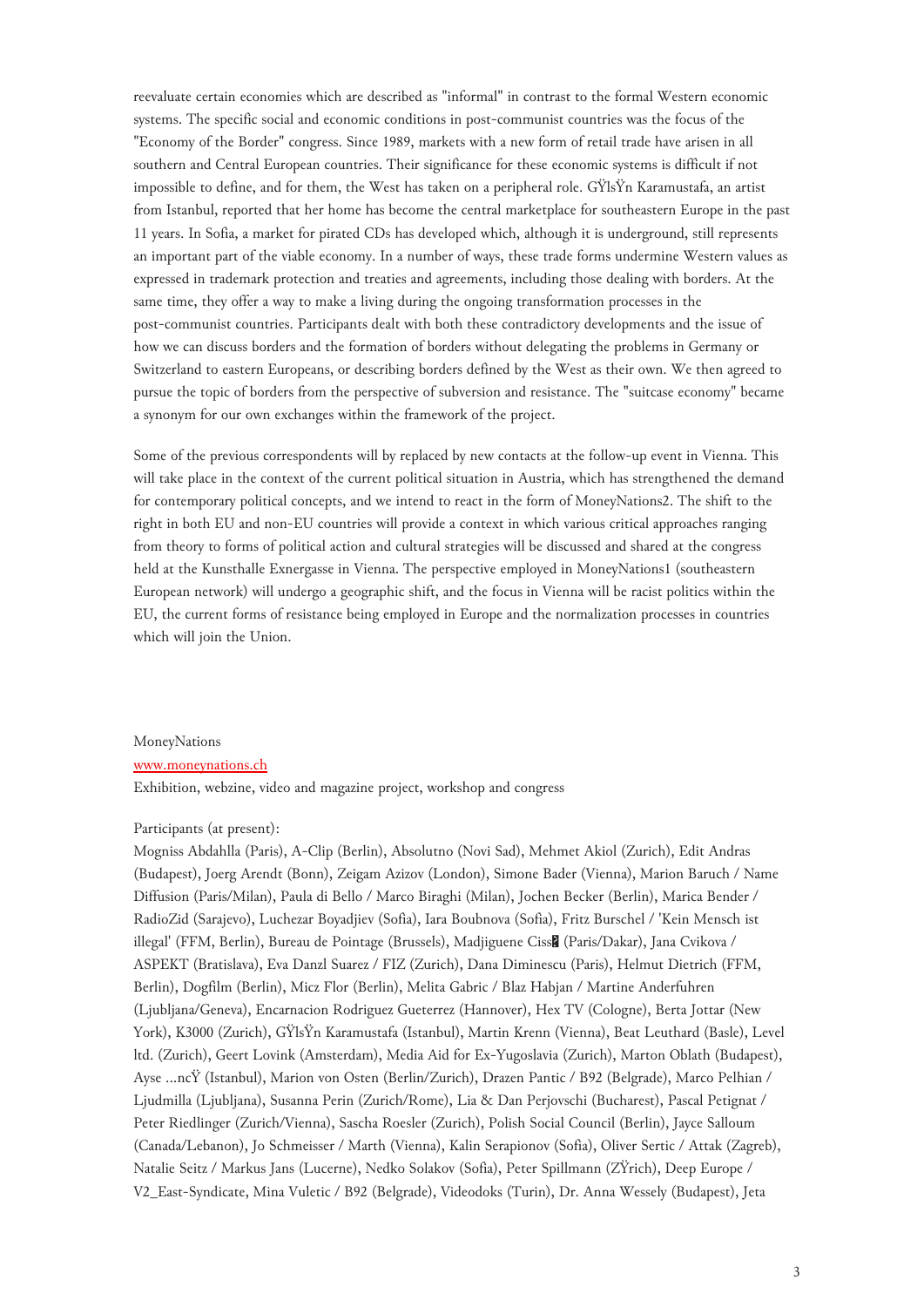reevaluate certain economies which are described as "informal" in contrast to the formal Western economic systems. The specific social and economic conditions in post-communist countries was the focus of the "Economy of the Border" congress. Since 1989, markets with a new form of retail trade have arisen in all southern and Central European countries. Their significance for these economic systems is difficult if not impossible to define, and for them, the West has taken on a peripheral role. GŸlsŸn Karamustafa, an artist from Istanbul, reported that her home has become the central marketplace for southeastern Europe in the past 11 years. In Sofia, a market for pirated CDs has developed which, although it is underground, still represents an important part of the viable economy. In a number of ways, these trade forms undermine Western values as expressed in trademark protection and treaties and agreements, including those dealing with borders. At the same time, they offer a way to make a living during the ongoing transformation processes in the post-communist countries. Participants dealt with both these contradictory developments and the issue of how we can discuss borders and the formation of borders without delegating the problems in Germany or Switzerland to eastern Europeans, or describing borders defined by the West as their own. We then agreed to pursue the topic of borders from the perspective of subversion and resistance. The "suitcase economy" became a synonym for our own exchanges within the framework of the project.

Some of the previous correspondents will by replaced by new contacts at the follow-up event in Vienna. This will take place in the context of the current political situation in Austria, which has strengthened the demand for contemporary political concepts, and we intend to react in the form of MoneyNations2. The shift to the right in both EU and non-EU countries will provide a context in which various critical approaches ranging from theory to forms of political action and cultural strategies will be discussed and shared at the congress held at the Kunsthalle Exnergasse in Vienna. The perspective employed in MoneyNations1 (southeastern European network) will undergo a geographic shift, and the focus in Vienna will be racist politics within the EU, the current forms of resistance being employed in Europe and the normalization processes in countries which will join the Union.

#### MoneyNations

#### [www.moneynations.ch](http://www.moneynations.ch/)

Exhibition, webzine, video and magazine project, workshop and congress

## Participants (at present):

Mogniss Abdahlla (Paris), A-Clip (Berlin), Absolutno (Novi Sad), Mehmet Akiol (Zurich), Edit Andras (Budapest), Joerg Arendt (Bonn), Zeigam Azizov (London), Simone Bader (Vienna), Marion Baruch / Name Diffusion (Paris/Milan), Paula di Bello / Marco Biraghi (Milan), Jochen Becker (Berlin), Marica Bender / RadioZid (Sarajevo), Luchezar Boyadjiev (Sofia), Iara Boubnova (Sofia), Fritz Burschel / 'Kein Mensch ist illegal' (FFM, Berlin), Bureau de Pointage (Brussels), Madjiguene Ciss� (Paris/Dakar), Jana Cvikova / ASPEKT (Bratislava), Eva Danzl Suarez / FIZ (Zurich), Dana Diminescu (Paris), Helmut Dietrich (FFM, Berlin), Dogfilm (Berlin), Micz Flor (Berlin), Melita Gabric / Blaz Habjan / Martine Anderfuhren (Ljubljana/Geneva), Encarnacion Rodriguez Gueterrez (Hannover), Hex TV (Cologne), Berta Jottar (New York), K3000 (Zurich), GŸlsŸn Karamustafa (Istanbul), Martin Krenn (Vienna), Beat Leuthard (Basle), Level ltd. (Zurich), Geert Lovink (Amsterdam), Media Aid for Ex-Yugoslavia (Zurich), Marton Oblath (Budapest), Ayse …ncŸ (Istanbul), Marion von Osten (Berlin/Zurich), Drazen Pantic / B92 (Belgrade), Marco Pelhian / Ljudmilla (Ljubljana), Susanna Perin (Zurich/Rome), Lia & Dan Perjovschi (Bucharest), Pascal Petignat / Peter Riedlinger (Zurich/Vienna), Sascha Roesler (Zurich), Polish Social Council (Berlin), Jayce Salloum (Canada/Lebanon), Jo Schmeisser / Marth (Vienna), Kalin Serapionov (Sofia), Oliver Sertic / Attak (Zagreb), Natalie Seitz / Markus Jans (Lucerne), Nedko Solakov (Sofia), Peter Spillmann (ZŸrich), Deep Europe / V2\_East-Syndicate, Mina Vuletic / B92 (Belgrade), Videodoks (Turin), Dr. Anna Wessely (Budapest), Jeta